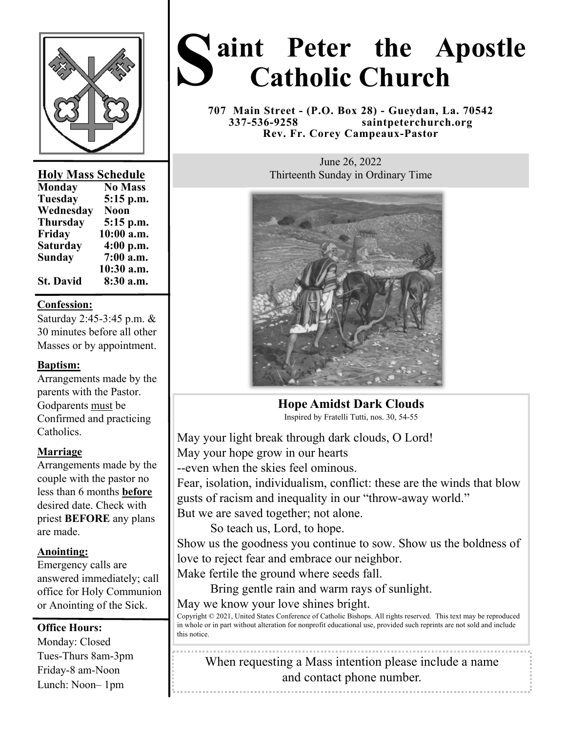

# **Holy Mass Schedule**

| <b>Monday</b>    | <b>No Mass</b> |
|------------------|----------------|
| <b>Tuesday</b>   | 5:15 p.m.      |
| Wednesday        | <b>Noon</b>    |
| <b>Thursday</b>  | 5:15 p.m.      |
| Friday           | 10:00 a.m.     |
| <b>Saturday</b>  | 4:00 p.m.      |
| Sunday           | 7:00 a.m.      |
|                  | 10:30 a.m.     |
| <b>St. David</b> | 8:30 a.m.      |

### **Confession:**

Saturday 2:45-3:45 p.m. & 30 minutes before all other Masses or by appointment.

## **Baptism:**

Arrangements made by the parents with the Pastor. Godparents must be Confirmed and practicing Catholics.

#### **Marriage**

Arrangements made by the couple with the pastor no less than 6 months **before**  desired date. Check with priest **BEFORE** any plans are made.

#### **Anointing:**

Emergency calls are answered immediately; call office for Holy Communion or Anointing of the Sick.

#### **Office Hours:**

Monday: Closed Tues-Thurs 8am-3pm Friday-8 am-Noon Lunch: Noon– 1pm

# **S aint Peter the Apostle Catholic Church**

**707 Main Street - (P.O. Box 28) - Gueydan, La. 70542 337-536-9258 saintpeterchurch.org Rev. Fr. Corey Campeaux-Pastor** 

> June 26, 2022 Thirteenth Sunday in Ordinary Time



# **Hope Amidst Dark Clouds**

Inspired by Fratelli Tutti, nos. 30, 54-55

May your light break through dark clouds, O Lord! May your hope grow in our hearts --even when the skies feel ominous.

Fear, isolation, individualism, conflict: these are the winds that blow gusts of racism and inequality in our "throw-away world." But we are saved together; not alone.

So teach us, Lord, to hope.

Show us the goodness you continue to sow. Show us the boldness of love to reject fear and embrace our neighbor.

Make fertile the ground where seeds fall.

 Bring gentle rain and warm rays of sunlight. May we know your love shines bright.

Copyright © 2021, United States Conference of Catholic Bishops. All rights reserved. This text may be reproduced in whole or in part without alteration for nonprofit educational use, provided such reprints are not sold and include this notice.

When requesting a Mass intention please include a name and contact phone number.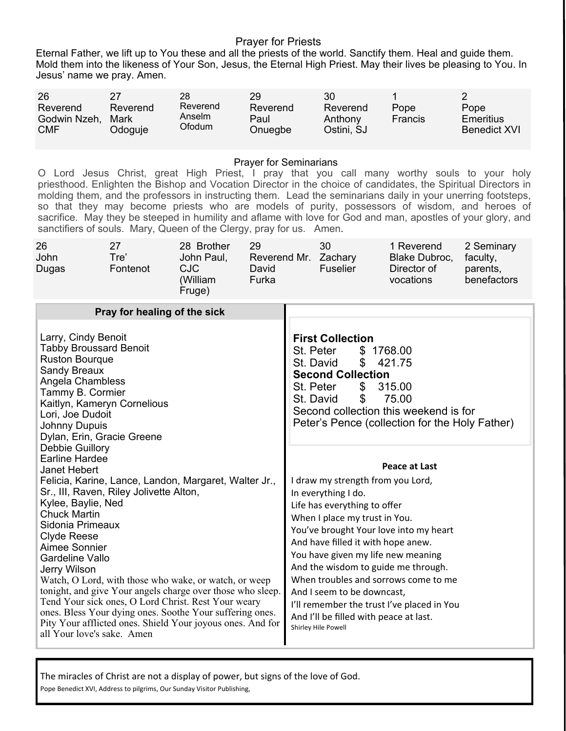#### Prayer for Priests

Eternal Father, we lift up to You these and all the priests of the world. Sanctify them. Heal and guide them. Mold them into the likeness of Your Son, Jesus, the Eternal High Priest. May their lives be pleasing to You. In Jesus' name we pray. Amen.

| 26                                     |                             | 28                           | 29                          | 30                                             |                 |                                          |
|----------------------------------------|-----------------------------|------------------------------|-----------------------------|------------------------------------------------|-----------------|------------------------------------------|
| Reverend<br>Godwin Nzeh,<br><b>CMF</b> | Reverend<br>Mark<br>Odoguje | Reverend<br>Anselm<br>Ofodum | Reverend<br>Paul<br>Onuegbe | Reverend<br>Anthony<br>Ostini, SJ <sup>.</sup> | Pope<br>Francis | Pope<br>Emeritius<br><b>Benedict XVI</b> |

#### Prayer for Seminarians

O Lord Jesus Christ, great High Priest, I pray that you call many worthy souls to your holy priesthood. Enlighten the Bishop and Vocation Director in the choice of candidates, the Spiritual Directors in molding them, and the professors in instructing them. Lead the seminarians daily in your unerring footsteps, so that they may become priests who are models of purity, possessors of wisdom, and heroes of sacrifice. May they be steeped in humility and aflame with love for God and man, apostles of your glory, and sanctifiers of souls. Mary, Queen of the Clergy, pray for us. Amen.

| 26<br>John<br>Dugas                                                                                                                                                                                                                                                                                                                                                                                                                                                                                                                                                                                                                           | 27<br>Tre'<br>Fontenot       | 28 Brother<br>John Paul,<br><b>CJC</b><br>(William<br>Fruge) | 29<br>David<br>Furka |                                                                                                                                                                                                                                                                                                                                                                                                                                                                                              | 30<br>Reverend Mr. Zachary<br><b>Fuselier</b>     | 1 Reverend<br>Blake Dubroc,<br>Director of<br>vocations                                                    | 2 Seminary<br>faculty,<br>parents,<br>benefactors |
|-----------------------------------------------------------------------------------------------------------------------------------------------------------------------------------------------------------------------------------------------------------------------------------------------------------------------------------------------------------------------------------------------------------------------------------------------------------------------------------------------------------------------------------------------------------------------------------------------------------------------------------------------|------------------------------|--------------------------------------------------------------|----------------------|----------------------------------------------------------------------------------------------------------------------------------------------------------------------------------------------------------------------------------------------------------------------------------------------------------------------------------------------------------------------------------------------------------------------------------------------------------------------------------------------|---------------------------------------------------|------------------------------------------------------------------------------------------------------------|---------------------------------------------------|
| Larry, Cindy Benoit<br><b>Tabby Broussard Benoit</b><br><b>Ruston Bourque</b>                                                                                                                                                                                                                                                                                                                                                                                                                                                                                                                                                                 | Pray for healing of the sick |                                                              |                      | St. Peter<br>St. David                                                                                                                                                                                                                                                                                                                                                                                                                                                                       | <b>First Collection</b><br>\$1768.00<br>\$        | 421.75                                                                                                     |                                                   |
| <b>Sandy Breaux</b><br>Angela Chambless<br>Tammy B. Cormier<br>Kaitlyn, Kameryn Cornelious<br>Lori, Joe Dudoit<br><b>Johnny Dupuis</b><br>Dylan, Erin, Gracie Greene                                                                                                                                                                                                                                                                                                                                                                                                                                                                          |                              |                                                              |                      | St. Peter                                                                                                                                                                                                                                                                                                                                                                                                                                                                                    | <b>Second Collection</b><br>\$<br>St. David<br>\$ | 315.00<br>75.00<br>Second collection this weekend is for<br>Peter's Pence (collection for the Holy Father) |                                                   |
| Debbie Guillory<br><b>Earline Hardee</b><br>Janet Hebert<br>Felicia, Karine, Lance, Landon, Margaret, Walter Jr.,<br>Sr., III, Raven, Riley Jolivette Alton,<br>Kylee, Baylie, Ned<br><b>Chuck Martin</b><br>Sidonia Primeaux<br><b>Clyde Reese</b><br>Aimee Sonnier<br>Gardeline Vallo<br>Jerry Wilson<br>Watch, O Lord, with those who wake, or watch, or weep<br>tonight, and give Your angels charge over those who sleep.<br>Tend Your sick ones, O Lord Christ. Rest Your weary<br>ones. Bless Your dying ones. Soothe Your suffering ones.<br>Pity Your afflicted ones. Shield Your joyous ones. And for<br>all Your love's sake. Amen |                              |                                                              |                      | Peace at Last<br>I draw my strength from you Lord,<br>In everything I do.<br>Life has everything to offer<br>When I place my trust in You.<br>You've brought Your love into my heart<br>And have filled it with hope anew.<br>You have given my life new meaning<br>And the wisdom to guide me through.<br>When troubles and sorrows come to me<br>And I seem to be downcast,<br>I'll remember the trust I've placed in You<br>And I'll be filled with peace at last.<br>Shirley Hile Powell |                                                   |                                                                                                            |                                                   |

The miracles of Christ are not a display of power, but signs of the love of God.

Pope Benedict XVI, Address to pilgrims, Our Sunday Visitor Publishing,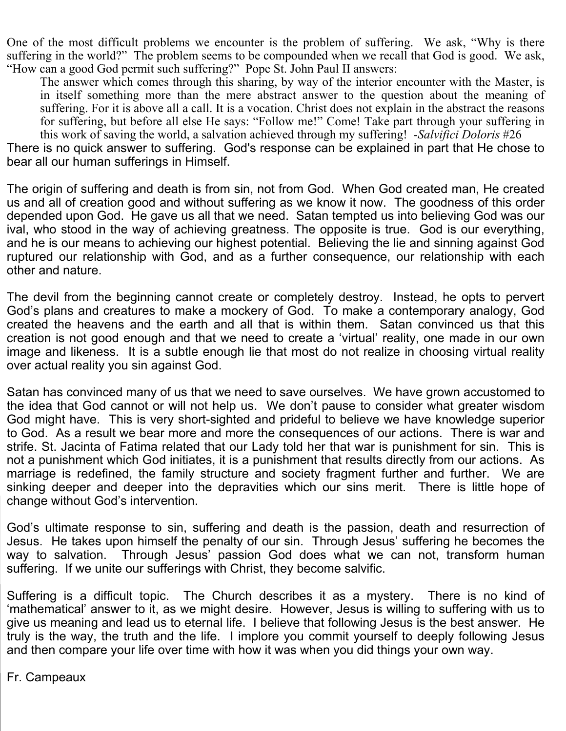One of the most difficult problems we encounter is the problem of suffering. We ask, "Why is there suffering in the world?" The problem seems to be compounded when we recall that God is good. We ask, "How can a good God permit such suffering?" Pope St. John Paul II answers:

The answer which comes through this sharing, by way of the interior encounter with the Master, is in itself something more than the mere abstract answer to the question about the meaning of suffering. For it is above all a call. It is a vocation. Christ does not explain in the abstract the reasons for suffering, but before all else He says: "Follow me!" Come! Take part through your suffering in this work of saving the world, a salvation achieved through my suffering! -*Salvifici Doloris* #26

There is no quick answer to suffering. God's response can be explained in part that He chose to bear all our human sufferings in Himself.

The origin of suffering and death is from sin, not from God. When God created man, He created us and all of creation good and without suffering as we know it now. The goodness of this order depended upon God. He gave us all that we need. Satan tempted us into believing God was our ival, who stood in the way of achieving greatness. The opposite is true. God is our everything, and he is our means to achieving our highest potential. Believing the lie and sinning against God ruptured our relationship with God, and as a further consequence, our relationship with each other and nature.

The devil from the beginning cannot create or completely destroy. Instead, he opts to pervert God's plans and creatures to make a mockery of God. To make a contemporary analogy, God created the heavens and the earth and all that is within them. Satan convinced us that this creation is not good enough and that we need to create a 'virtual' reality, one made in our own image and likeness. It is a subtle enough lie that most do not realize in choosing virtual reality over actual reality you sin against God.

Satan has convinced many of us that we need to save ourselves. We have grown accustomed to the idea that God cannot or will not help us. We don't pause to consider what greater wisdom God might have. This is very short-sighted and prideful to believe we have knowledge superior to God. As a result we bear more and more the consequences of our actions. There is war and strife. St. Jacinta of Fatima related that our Lady told her that war is punishment for sin. This is not a punishment which God initiates, it is a punishment that results directly from our actions. As marriage is redefined, the family structure and society fragment further and further. We are sinking deeper and deeper into the depravities which our sins merit. There is little hope of change without God's intervention.

God's ultimate response to sin, suffering and death is the passion, death and resurrection of Jesus. He takes upon himself the penalty of our sin. Through Jesus' suffering he becomes the way to salvation. Through Jesus' passion God does what we can not, transform human suffering. If we unite our sufferings with Christ, they become salvific.

Suffering is a difficult topic. The Church describes it as a mystery. There is no kind of 'mathematical' answer to it, as we might desire. However, Jesus is willing to suffering with us to give us meaning and lead us to eternal life. I believe that following Jesus is the best answer. He truly is the way, the truth and the life. I implore you commit yourself to deeply following Jesus and then compare your life over time with how it was when you did things your own way.

Fr. Campeaux